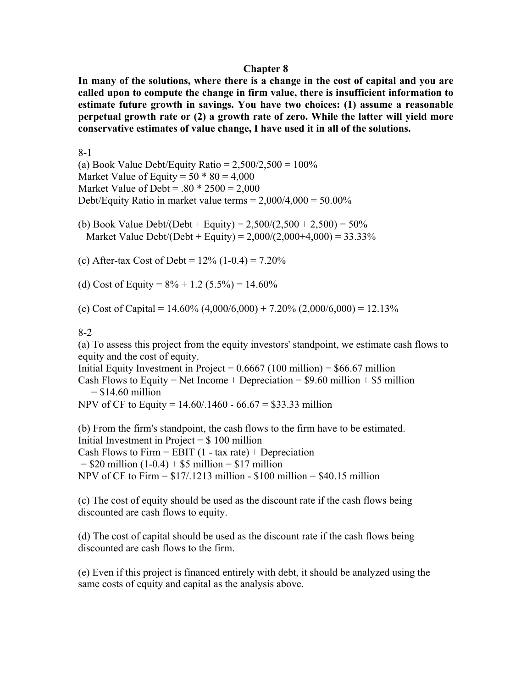#### **Chapter 8**

**In many of the solutions, where there is a change in the cost of capital and you are called upon to compute the change in firm value, there is insufficient information to estimate future growth in savings. You have two choices: (1) assume a reasonable perpetual growth rate or (2) a growth rate of zero. While the latter will yield more conservative estimates of value change, I have used it in all of the solutions.**

#### 8-1

(a) Book Value Debt/Equity Ratio =  $2,500/2,500 = 100\%$ Market Value of Equity =  $50 * 80 = 4,000$ Market Value of Debt =  $.80 * 2500 = 2,000$ Debt/Equity Ratio in market value terms =  $2,000/4,000 = 50.00\%$ 

(b) Book Value Debt/(Debt + Equity) =  $2,500/(2,500 + 2,500) = 50\%$ Market Value Debt/(Debt + Equity) =  $2,000/(2,000+4,000) = 33.33\%$ 

(c) After-tax Cost of Debt =  $12\%$  (1-0.4) =  $7.20\%$ 

(d) Cost of Equity =  $8\% + 1.2$  (5.5%) = 14.60%

(e) Cost of Capital =  $14.60\%$  (4,000/6,000) + 7.20% (2,000/6,000) = 12.13%

### 8-2

(a) To assess this project from the equity investors' standpoint, we estimate cash flows to equity and the cost of equity.

Initial Equity Investment in Project =  $0.6667$  (100 million) = \$66.67 million Cash Flows to Equity = Net Income + Depreciation =  $$9.60$  million + \$5 million  $=$  \$14.60 million

NPV of CF to Equity = 14.60/.1460 - 66.67 = \$33.33 million

(b) From the firm's standpoint, the cash flows to the firm have to be estimated. Initial Investment in Project  $=$  \$ 100 million Cash Flows to Firm  $=$  EBIT (1 - tax rate)  $+$  Depreciation  $= $20 \text{ million} (1-0.4) + $5 \text{ million} = $17 \text{ million}$ NPV of CF to Firm  $= $17/1213$  million  $= $100$  million  $= $40.15$  million

(c) The cost of equity should be used as the discount rate if the cash flows being discounted are cash flows to equity.

(d) The cost of capital should be used as the discount rate if the cash flows being discounted are cash flows to the firm.

(e) Even if this project is financed entirely with debt, it should be analyzed using the same costs of equity and capital as the analysis above.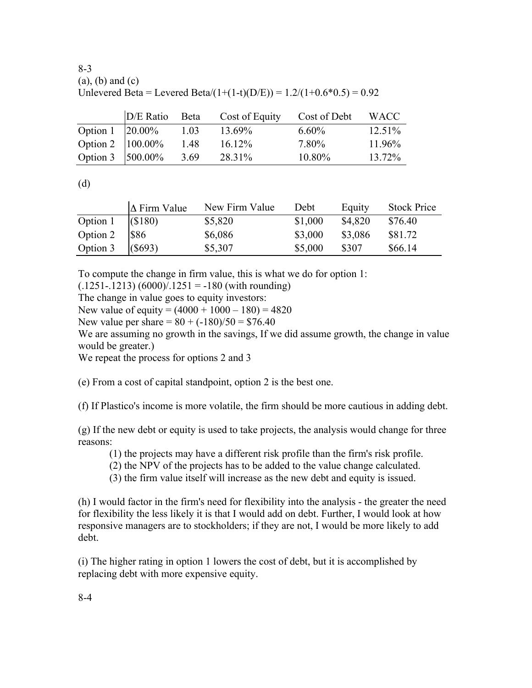8-3 (a), (b) and (c) Unlevered Beta = Levered Beta/(1+(1-t)(D/E)) =  $1.2/(1+0.6*0.5) = 0.92$ 

|                            | D/E Ratio | Beta | Cost of Equity | Cost of Debt | <b>WACC</b> |
|----------------------------|-----------|------|----------------|--------------|-------------|
| Option $1 \quad  20.00\% $ |           | 1.03 | 13.69%         | $6.60\%$     | $12.51\%$   |
| Option 2 $ 100.00\% $      |           | 1.48 | 1612%          | 7.80%        | 11 96\%     |
| Option 3   500.00%         |           | 3.69 | 28 31%         | $10.80\%$    | 13.72%      |

(d)

|          | $\Delta$ Firm Value | New Firm Value | Debt    | Equity  | <b>Stock Price</b> |
|----------|---------------------|----------------|---------|---------|--------------------|
| Option 1 | (S180)              | \$5,820        | \$1,000 | \$4,820 | \$76.40            |
| Option 2 | <b>\$86</b>         | \$6,086        | \$3,000 | \$3,086 | \$81.72            |
| Option 3 | (S693)              | \$5,307        | \$5,000 | \$307   | \$66.14            |

To compute the change in firm value, this is what we do for option 1:

 $(.1251-.1213) (6000)/.1251 = -180$  (with rounding)

The change in value goes to equity investors:

New value of equity =  $(4000 + 1000 - 180) = 4820$ 

New value per share  $= 80 + (-180)/50 = $76.40$ 

We are assuming no growth in the savings, If we did assume growth, the change in value would be greater.)

We repeat the process for options 2 and 3

(e) From a cost of capital standpoint, option 2 is the best one.

(f) If Plastico's income is more volatile, the firm should be more cautious in adding debt.

(g) If the new debt or equity is used to take projects, the analysis would change for three reasons:

(1) the projects may have a different risk profile than the firm's risk profile.

(2) the NPV of the projects has to be added to the value change calculated.

(3) the firm value itself will increase as the new debt and equity is issued.

(h) I would factor in the firm's need for flexibility into the analysis - the greater the need for flexibility the less likely it is that I would add on debt. Further, I would look at how responsive managers are to stockholders; if they are not, I would be more likely to add debt.

(i) The higher rating in option 1 lowers the cost of debt, but it is accomplished by replacing debt with more expensive equity.

8-4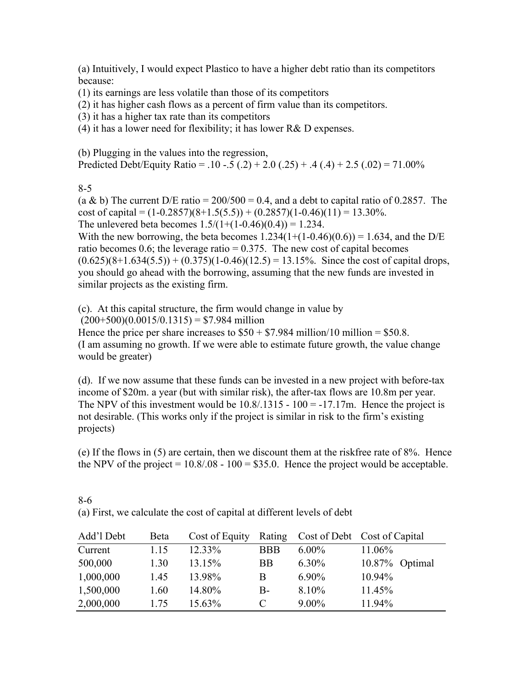(a) Intuitively, I would expect Plastico to have a higher debt ratio than its competitors because:

(1) its earnings are less volatile than those of its competitors

(2) it has higher cash flows as a percent of firm value than its competitors.

(3) it has a higher tax rate than its competitors

(4) it has a lower need for flexibility; it has lower  $R&D$  expenses.

(b) Plugging in the values into the regression, Predicted Debt/Equity Ratio =  $.10 - .5(.2) + 2.0(.25) + .4(.4) + 2.5(.02) = 71.00\%$ 

8-5

(a & b) The current D/E ratio =  $200/500 = 0.4$ , and a debt to capital ratio of 0.2857. The cost of capital =  $(1-0.2857)(8+1.5(5.5)) + (0.2857)(1-0.46)(11) = 13.30\%$ . The unlevered beta becomes  $1.5/(1+(1-0.46)(0.4)) = 1.234$ .

With the new borrowing, the beta becomes  $1.234(1+(1-0.46)(0.6)) = 1.634$ , and the D/E ratio becomes 0.6; the leverage ratio  $= 0.375$ . The new cost of capital becomes  $(0.625)(8+1.634(5.5)) + (0.375)(1-0.46)(12.5) = 13.15\%$ . Since the cost of capital drops, you should go ahead with the borrowing, assuming that the new funds are invested in similar projects as the existing firm.

(c). At this capital structure, the firm would change in value by

 $(200+500)(0.0015/0.1315) = $7.984$  million

Hence the price per share increases to  $$50 + $7.984$  million/10 million = \$50.8. (I am assuming no growth. If we were able to estimate future growth, the value change would be greater)

(d). If we now assume that these funds can be invested in a new project with before-tax income of \$20m. a year (but with similar risk), the after-tax flows are 10.8m per year. The NPV of this investment would be  $10.8/0.1315 - 100 = -17.17$ m. Hence the project is not desirable. (This works only if the project is similar in risk to the firm's existing projects)

(e) If the flows in (5) are certain, then we discount them at the riskfree rate of 8%. Hence the NPV of the project  $= 10.8/08 - 100 = $35.0$ . Hence the project would be acceptable.

8-6 (a) First, we calculate the cost of capital at different levels of debt

| Add'l Debt | <b>B</b> eta | Cost of Equity | Rating     |          | Cost of Debt Cost of Capital |
|------------|--------------|----------------|------------|----------|------------------------------|
| Current    | 1.15         | 12.33%         | <b>BBB</b> | $6.00\%$ | 11.06%                       |
| 500,000    | 1.30         | 13.15%         | <b>BB</b>  | $6.30\%$ | $10.87\%$ Optimal            |
| 1,000,000  | 1.45         | 13.98%         | B          | $6.90\%$ | 10.94%                       |
| 1,500,000  | 1.60         | 14.80%         | B-         | 8.10%    | 11.45%                       |
| 2,000,000  | 175          | 15.63%         |            | $9.00\%$ | 11.94%                       |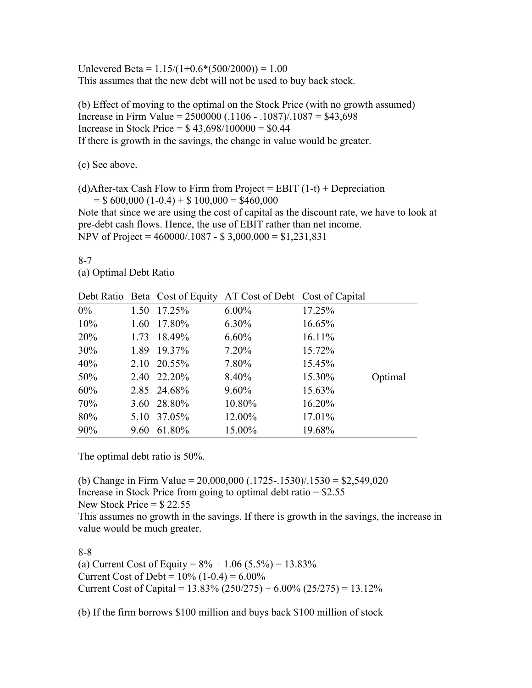Unlevered Beta =  $1.15/(1+0.6*(500/2000)) = 1.00$ This assumes that the new debt will not be used to buy back stock.

(b) Effect of moving to the optimal on the Stock Price (with no growth assumed) Increase in Firm Value =  $2500000$  (.1106 - .1087)/.1087 = \$43,698 Increase in Stock Price =  $$43,698/100000 = $0.44$ If there is growth in the savings, the change in value would be greater.

(c) See above.

(d)After-tax Cash Flow to Firm from Project = EBIT  $(1-t)$  + Depreciation  $=$  \$ 600,000 (1-0.4) + \$ 100,000 = \$460,000

Note that since we are using the cost of capital as the discount rate, we have to look at pre-debt cash flows. Hence, the use of EBIT rather than net income. NPV of Project = 460000/.1087 - \$ 3,000,000 = \$1,231,831

8-7

(a) Optimal Debt Ratio

|       |      |             | Debt Ratio Beta Cost of Equity AT Cost of Debt Cost of Capital |        |         |
|-------|------|-------------|----------------------------------------------------------------|--------|---------|
| $0\%$ | 1.50 | 17.25%      | $6.00\%$                                                       | 17.25% |         |
| 10%   |      | 1.60 17.80% | $6.30\%$                                                       | 16.65% |         |
| 20%   | 1.73 | 18.49%      | $6.60\%$                                                       | 16.11% |         |
| 30%   |      | 1.89 19.37% | $7.20\%$                                                       | 15.72% |         |
| 40%   |      | 2.10 20.55% | 7.80%                                                          | 15.45% |         |
| 50%   |      | 2.40 22.20% | 8.40%                                                          | 15.30% | Optimal |
| 60%   |      | 2.85 24.68% | $9.60\%$                                                       | 15.63% |         |
| 70%   |      | 3.60 28.80% | 10.80%                                                         | 16.20% |         |
| 80%   | 5.10 | 37.05%      | 12.00%                                                         | 17.01% |         |
| 90%   | 9.60 | 61.80%      | 15.00%                                                         | 19.68% |         |

The optimal debt ratio is 50%.

(b) Change in Firm Value =  $20,000,000$  (.1725-.1530)/.1530 = \$2,549,020 Increase in Stock Price from going to optimal debt ratio  $=$  \$2.55 New Stock Price  $=$  \$22.55 This assumes no growth in the savings. If there is growth in the savings, the increase in value would be much greater.

8-8

(a) Current Cost of Equity =  $8\% + 1.06$  (5.5%) = 13.83% Current Cost of Debt =  $10\%$  (1-0.4) =  $6.00\%$ Current Cost of Capital =  $13.83\%$  (250/275) +  $6.00\%$  (25/275) =  $13.12\%$ 

(b) If the firm borrows \$100 million and buys back \$100 million of stock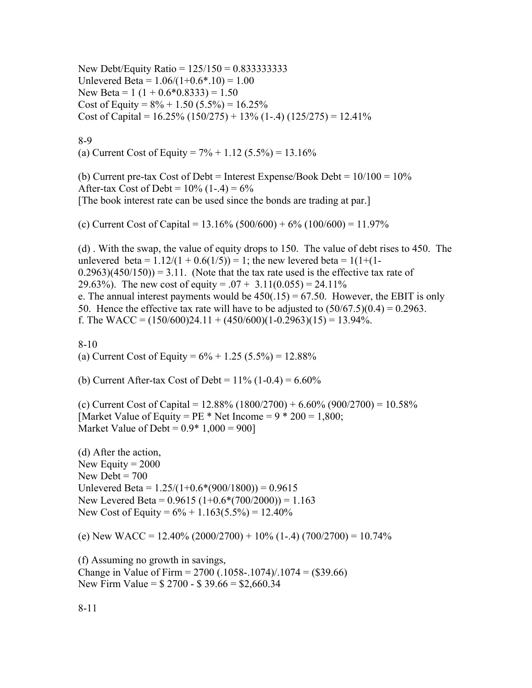New Debt/Equity Ratio = 125/150 = 0.833333333 Unlevered Beta =  $1.06/(1+0.6*.10) = 1.00$ New Beta =  $1(1 + 0.6 * 0.8333) = 1.50$ Cost of Equity =  $8\% + 1.50$  (5.5%) = 16.25% Cost of Capital =  $16.25\%$  (150/275) + 13% (1-.4) (125/275) = 12.41%

## 8-9

(a) Current Cost of Equity =  $7\% + 1.12$  (5.5%) = 13.16%

(b) Current pre-tax Cost of Debt = Interest Expense/Book Debt =  $10/100 = 10\%$ After-tax Cost of Debt =  $10\%$  (1-.4) =  $6\%$ [The book interest rate can be used since the bonds are trading at par.]

(c) Current Cost of Capital =  $13.16\%$  (500/600) +  $6\%$  (100/600) =  $11.97\%$ 

(d) . With the swap, the value of equity drops to 150. The value of debt rises to 450. The unlevered beta =  $1.12/(1 + 0.6(1/5)) = 1$ ; the new levered beta =  $1(1+(1 (0.2963)(450/150) = 3.11$ . (Note that the tax rate used is the effective tax rate of 29.63%). The new cost of equity =  $.07 + 3.11(0.055) = 24.11\%$ e. The annual interest payments would be  $450(.15) = 67.50$ . However, the EBIT is only 50. Hence the effective tax rate will have to be adjusted to  $(50/67.5)(0.4) = 0.2963$ . f. The WACC =  $(150/600)24.11 + (450/600)(1-0.2963)(15) = 13.94\%$ .

8-10 (a) Current Cost of Equity =  $6\% + 1.25$  (5.5%) = 12.88%

(b) Current After-tax Cost of Debt =  $11\%$  (1-0.4) =  $6.60\%$ 

(c) Current Cost of Capital =  $12.88\%$  (1800/2700) + 6.60% (900/2700) = 10.58% [Market Value of Equity =  $PE * Net Income = 9 * 200 = 1,800$ ; Market Value of Debt =  $0.9*1,000 = 900$ 

(d) After the action, New Equity  $= 2000$ New Debt  $= 700$ Unlevered Beta =  $1.25/(1+0.6*(900/1800)) = 0.9615$ New Levered Beta =  $0.9615 (1+0.6*(700/2000)) = 1.163$ New Cost of Equity =  $6\% + 1.163(5.5\%) = 12.40\%$ 

(e) New WACC =  $12.40\%$  (2000/2700) +  $10\%$  (1-.4) (700/2700) =  $10.74\%$ 

(f) Assuming no growth in savings, Change in Value of Firm =  $2700$  (.1058-.1074)/.1074 = (\$39.66) New Firm Value = \$ 2700 - \$ 39.66 = \$2,660.34

8-11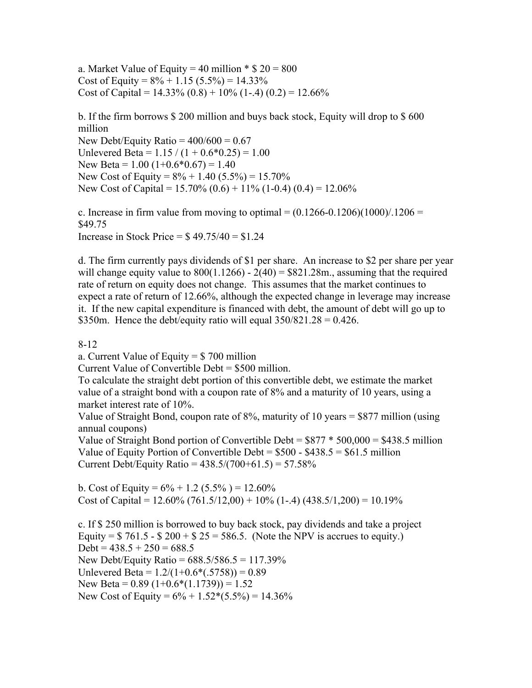a. Market Value of Equity = 40 million  $\text{* }$  \$ 20 = 800 Cost of Equity =  $8\% + 1.15$  (5.5%) = 14.33% Cost of Capital =  $14.33\%$  (0.8) + 10% (1-.4) (0.2) = 12.66%

b. If the firm borrows \$ 200 million and buys back stock, Equity will drop to \$ 600 million New Debt/Equity Ratio =  $400/600 = 0.67$ Unlevered Beta =  $1.15 / (1 + 0.6*0.25) = 1.00$ New Beta =  $1.00$  (1+0.6\*0.67) = 1.40 New Cost of Equity =  $8\% + 1.40$  (5.5%) = 15.70% New Cost of Capital =  $15.70\%$  (0.6) +  $11\%$  (1-0.4) (0.4) =  $12.06\%$ 

c. Increase in firm value from moving to optimal  $= (0.1266-0.1206)(1000)/1206 =$ \$49.75 Increase in Stock Price  $=$  \$49.75/40  $=$  \$1.24

d. The firm currently pays dividends of \$1 per share. An increase to \$2 per share per year will change equity value to  $800(1.1266) - 2(40) = $821.28$ m., assuming that the required rate of return on equity does not change. This assumes that the market continues to expect a rate of return of 12.66%, although the expected change in leverage may increase it. If the new capital expenditure is financed with debt, the amount of debt will go up to \$350m. Hence the debt/equity ratio will equal  $350/821.28 = 0.426$ .

8-12

a. Current Value of Equity = \$ 700 million

Current Value of Convertible Debt = \$500 million.

To calculate the straight debt portion of this convertible debt, we estimate the market value of a straight bond with a coupon rate of 8% and a maturity of 10 years, using a market interest rate of 10%.

Value of Straight Bond, coupon rate of 8%, maturity of 10 years = \$877 million (using annual coupons)

Value of Straight Bond portion of Convertible Debt =  $$877 * 500,000 = $438.5$  million Value of Equity Portion of Convertible Debt =  $$500 - $438.5 = $61.5$  million Current Debt/Equity Ratio =  $438.5/(700+61.5) = 57.58\%$ 

b. Cost of Equity =  $6\% + 1.2$  (5.5%) = 12.60% Cost of Capital =  $12.60\%$  (761.5/12,00) + 10% (1-.4) (438.5/1,200) = 10.19%

c. If \$ 250 million is borrowed to buy back stock, pay dividends and take a project Equity =  $$761.5 - $200 + $25 = 586.5$ . (Note the NPV is accrues to equity.) Debt =  $438.5 + 250 = 688.5$ New Debt/Equity Ratio =  $688.5/586.5 = 117.39\%$ Unlevered Beta =  $1.2/(1+0.6*(0.5758)) = 0.89$ New Beta =  $0.89$  (1+ $0.6*(1.1739)$ ) = 1.52 New Cost of Equity =  $6\% + 1.52*(5.5\%) = 14.36\%$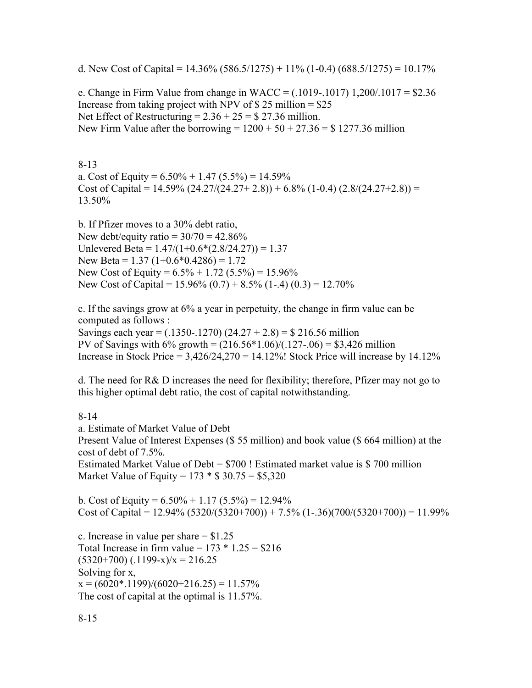d. New Cost of Capital =  $14.36\%$  (586.5/1275) + 11% (1-0.4) (688.5/1275) = 10.17%

e. Change in Firm Value from change in WACC =  $(.1019-.1017)$  1,200/.1017 = \$2.36 Increase from taking project with NPV of  $$ 25$  million =  $$25$ Net Effect of Restructuring  $= 2.36 + 25 = $27.36$  million. New Firm Value after the borrowing =  $1200 + 50 + 27.36 = $ 1277.36$  million

8-13

a. Cost of Equity =  $6.50\% + 1.47$   $(5.5\%) = 14.59\%$ Cost of Capital =  $14.59\%$  (24.27/(24.27+ 2.8)) + 6.8% (1-0.4) (2.8/(24.27+2.8)) = 13.50%

b. If Pfizer moves to a 30% debt ratio, New debt/equity ratio =  $30/70 = 42.86\%$ Unlevered Beta =  $1.47/(1+0.6*(2.8/24.27)) = 1.37$ New Beta =  $1.37$  (1+0.6\*0.4286) = 1.72 New Cost of Equity =  $6.5\% + 1.72$  (5.5%) = 15.96% New Cost of Capital =  $15.96\%$  (0.7) +  $8.5\%$  (1-.4) (0.3) =  $12.70\%$ 

c. If the savings grow at 6% a year in perpetuity, the change in firm value can be computed as follows :

Savings each year =  $(.1350-.1270)$   $(24.27 + 2.8) =$  \$ 216.56 million PV of Savings with  $6\%$  growth =  $(216.56*1.06)/(0.127-0.06) = $3,426$  million Increase in Stock Price =  $3,426/24,270 = 14.12\%$ ! Stock Price will increase by 14.12%

d. The need for R& D increases the need for flexibility; therefore, Pfizer may not go to this higher optimal debt ratio, the cost of capital notwithstanding.

8-14

a. Estimate of Market Value of Debt Present Value of Interest Expenses (\$ 55 million) and book value (\$ 664 million) at the cost of debt of 7.5%. Estimated Market Value of Debt = \$700 ! Estimated market value is \$ 700 million Market Value of Equity =  $173 * $30.75 = $5,320$ 

b. Cost of Equity =  $6.50\% + 1.17$   $(5.5\%) = 12.94\%$ Cost of Capital =  $12.94\%$  (5320/(5320+700)) + 7.5% (1-.36)(700/(5320+700)) = 11.99%

c. Increase in value per share  $= $1.25$ Total Increase in firm value =  $173 * 1.25 = $216$  $(5320+700)$   $(.1199-x)/x = 216.25$ Solving for x,  $x = (6020^* \cdot 1199)/(6020 + 216.25) = 11.57\%$ The cost of capital at the optimal is 11.57%.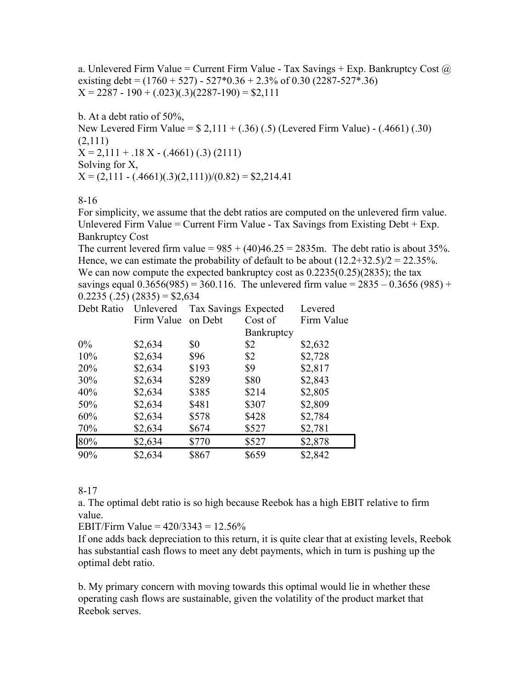a. Unlevered Firm Value = Current Firm Value - Tax Savings + Exp. Bankruptcy Cost  $\omega$ existing debt =  $(1760 + 527) - 527 * 0.36 + 2.3%$  of 0.30 (2287-527\*.36)  $X = 2287 - 190 + (0.023)(0.3)(2287 - 190) = $2,111$ 

b. At a debt ratio of 50%, New Levered Firm Value = \$ 2,111 + (.36) (.5) (Levered Firm Value) - (.4661) (.30) (2,111)  $X = 2,111 + .18 X - (.4661) (.3) (2111)$ Solving for X,  $X = (2,111 - (.4661)(.3)(2,111))/(0.82) = $2,214.41$ 

8-16

For simplicity, we assume that the debt ratios are computed on the unlevered firm value. Unlevered Firm Value = Current Firm Value - Tax Savings from Existing Debt + Exp. Bankruptcy Cost

The current levered firm value =  $985 + (40)46.25 = 2835$ m. The debt ratio is about 35%. Hence, we can estimate the probability of default to be about  $(12.2+32.5)/2 = 22.35%$ . We can now compute the expected bankruptcy cost as  $0.2235(0.25)(2835)$ ; the tax savings equal  $0.3656(985) = 360.116$ . The unlevered firm value =  $2835 - 0.3656(985) +$  $0.2235(.25)(2835) = $2,634$ 

| Debt Ratio | Unlevered  | Tax Savings Expected |            | Levered    |
|------------|------------|----------------------|------------|------------|
|            | Firm Value | on Debt              | Cost of    | Firm Value |
|            |            |                      | Bankruptcy |            |
| $0\%$      | \$2,634    | \$0                  | \$2        | \$2,632    |
| 10%        | \$2,634    | \$96                 | \$2        | \$2,728    |
| 20%        | \$2,634    | \$193                | \$9        | \$2,817    |
| 30%        | \$2,634    | \$289                | \$80       | \$2,843    |
| 40%        | \$2,634    | \$385                | \$214      | \$2,805    |
| 50%        | \$2,634    | \$481                | \$307      | \$2,809    |
| 60%        | \$2,634    | \$578                | \$428      | \$2,784    |
| 70%        | \$2,634    | \$674                | \$527      | \$2,781    |
| 80%        | \$2,634    | \$770                | \$527      | \$2,878    |
| 90%        | \$2,634    | \$867                | \$659      | \$2,842    |

8-17

a. The optimal debt ratio is so high because Reebok has a high EBIT relative to firm value.

EBIT/Firm Value =  $420/3343 = 12.56\%$ 

If one adds back depreciation to this return, it is quite clear that at existing levels, Reebok has substantial cash flows to meet any debt payments, which in turn is pushing up the optimal debt ratio.

b. My primary concern with moving towards this optimal would lie in whether these operating cash flows are sustainable, given the volatility of the product market that Reebok serves.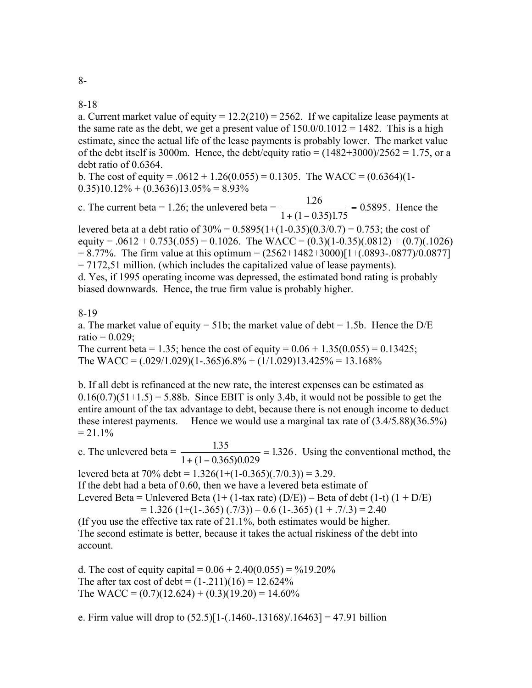8-18

a. Current market value of equity  $= 12.2(210) = 2562$ . If we capitalize lease payments at the same rate as the debt, we get a present value of  $150.0/0.1012 = 1482$ . This is a high estimate, since the actual life of the lease payments is probably lower. The market value of the debt itself is 3000m. Hence, the debt/equity ratio =  $(1482+3000)/2562 = 1.75$ , or a debt ratio of 0.6364.

b. The cost of equity =  $.0612 + 1.26(0.055) = 0.1305$ . The WACC =  $(0.6364)(1 0.35$ )10.12% + (0.3636)13.05% = 8.93%

c. The current beta = 1.26; the unlevered beta =  $\frac{1.26}{\sqrt{1.25}}$  $1 + (1 - 0.35)1.75$  $\frac{1.26}{(1-0.35)1.75} = 0.5895$ . Hence the

levered beta at a debt ratio of  $30\% = 0.5895(1+(1-0.35)(0.3/0.7) = 0.753$ ; the cost of equity =  $.0612 + 0.753(.055) = 0.1026$ . The WACC =  $(0.3)(1-0.35)(.0812) + (0.7)(.1026)$  $= 8.77\%$ . The firm value at this optimum  $= (2562+1482+3000)[1+(0.0893-0.0877)/0.0877]$ = 7172,51 million. (which includes the capitalized value of lease payments).

d. Yes, if 1995 operating income was depressed, the estimated bond rating is probably biased downwards. Hence, the true firm value is probably higher.

## 8-19

a. The market value of equity = 51b; the market value of debt = 1.5b. Hence the  $D/E$  $ratio = 0.029$ ;

The current beta = 1.35; hence the cost of equity =  $0.06 + 1.35(0.055) = 0.13425$ ; The WACC =  $(.029/1.029)(1-.365)6.8% + (1/1.029)13.425% = 13.168%$ 

b. If all debt is refinanced at the new rate, the interest expenses can be estimated as  $0.16(0.7)(51+1.5) = 5.88b$ . Since EBIT is only 3.4b, it would not be possible to get the entire amount of the tax advantage to debt, because there is not enough income to deduct these interest payments. Hence we would use a marginal tax rate of (3.4/5.88)(36.5%)  $= 21.1\%$ 

c. The unlevered beta =  $\frac{1.35}{1.35}$  $1 + (1 - 0.365)0.029$  $\frac{1.35}{(1-0.365)0.029}$  = 1.326. Using the conventional method, the

levered beta at  $70\%$  debt =  $1.326(1+(1-0.365)(.7/0.3)) = 3.29$ .

If the debt had a beta of 0.60, then we have a levered beta estimate of

Levered Beta = Unlevered Beta  $(1+(1-tax rate) (D/E))$  – Beta of debt  $(1-t) (1+D/E)$ 

 $= 1.326$  (1+(1-.365) (.7/3)) – 0.6 (1-.365) (1 + .7/.3) = 2.40

(If you use the effective tax rate of 21.1%, both estimates would be higher. The second estimate is better, because it takes the actual riskiness of the debt into account.

d. The cost of equity capital =  $0.06 + 2.40(0.055) = \frac{9}{19.20\%}$ The after tax cost of debt =  $(1-.211)(16) = 12.624\%$ The WACC =  $(0.7)(12.624) + (0.3)(19.20) = 14.60\%$ 

e. Firm value will drop to  $(52.5)[1-(.1460-.13168)/.16463] = 47.91$  billion

8-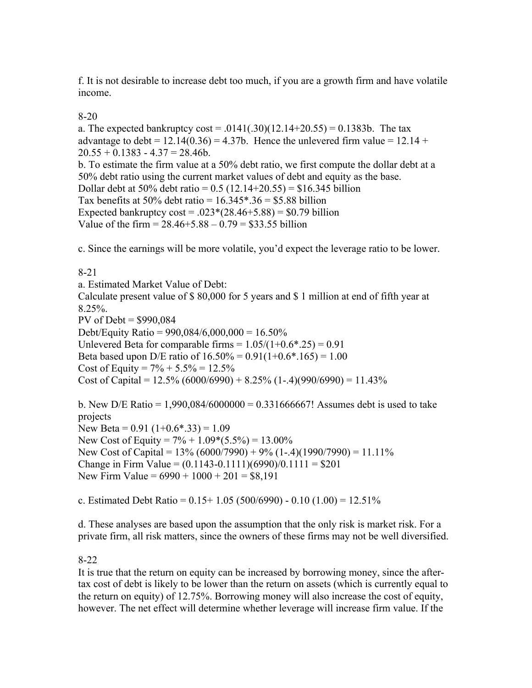f. It is not desirable to increase debt too much, if you are a growth firm and have volatile income.

# 8-20

a. The expected bankruptcy  $\cos t = .0141(.30)(12.14+20.55) = 0.1383b$ . The tax advantage to debt =  $12.14(0.36) = 4.37b$ . Hence the unlevered firm value =  $12.14 +$  $20.55 + 0.1383 - 4.37 = 28.46b$ . b. To estimate the firm value at a 50% debt ratio, we first compute the dollar debt at a 50% debt ratio using the current market values of debt and equity as the base. Dollar debt at 50% debt ratio =  $0.5$  (12.14+20.55) = \$16.345 billion Tax benefits at 50% debt ratio =  $16.345$ \*.36 = \$5.88 billion Expected bankruptcy  $\cos t = .023*(28.46+5.88) = $0.79$  billion Value of the firm  $= 28.46 + 5.88 - 0.79 = $33.55$  billion

c. Since the earnings will be more volatile, you'd expect the leverage ratio to be lower.

## 8-21

a. Estimated Market Value of Debt: Calculate present value of \$ 80,000 for 5 years and \$ 1 million at end of fifth year at 8.25%. PV of Debt = \$990,084 Debt/Equity Ratio =  $990,084/6,000,000 = 16.50\%$ Unlevered Beta for comparable firms  $= 1.05/(1+0.6*.25) = 0.91$ Beta based upon D/E ratio of  $16.50\% = 0.91(1+0.6*.165) = 1.00$ Cost of Equity =  $7\% + 5.5\% = 12.5\%$ Cost of Capital =  $12.5\%$  (6000/6990) + 8.25% (1-.4)(990/6990) = 11.43%

b. New D/E Ratio =  $1,990,084/6000000 = 0.331666667!$  Assumes debt is used to take projects New Beta =  $0.91$  (1+0.6\*.33) = 1.09 New Cost of Equity =  $7\% + 1.09*(5.5\%) = 13.00\%$ New Cost of Capital =  $13\%$  (6000/7990) + 9% (1-.4)(1990/7990) = 11.11% Change in Firm Value =  $(0.1143 - 0.1111)(6990)/0.1111 = $201$ New Firm Value =  $6990 + 1000 + 201 = $8,191$ 

c. Estimated Debt Ratio =  $0.15+1.05$  (500/6990) -  $0.10$  (1.00) = 12.51%

d. These analyses are based upon the assumption that the only risk is market risk. For a private firm, all risk matters, since the owners of these firms may not be well diversified.

## 8-22

It is true that the return on equity can be increased by borrowing money, since the aftertax cost of debt is likely to be lower than the return on assets (which is currently equal to the return on equity) of 12.75%. Borrowing money will also increase the cost of equity, however. The net effect will determine whether leverage will increase firm value. If the